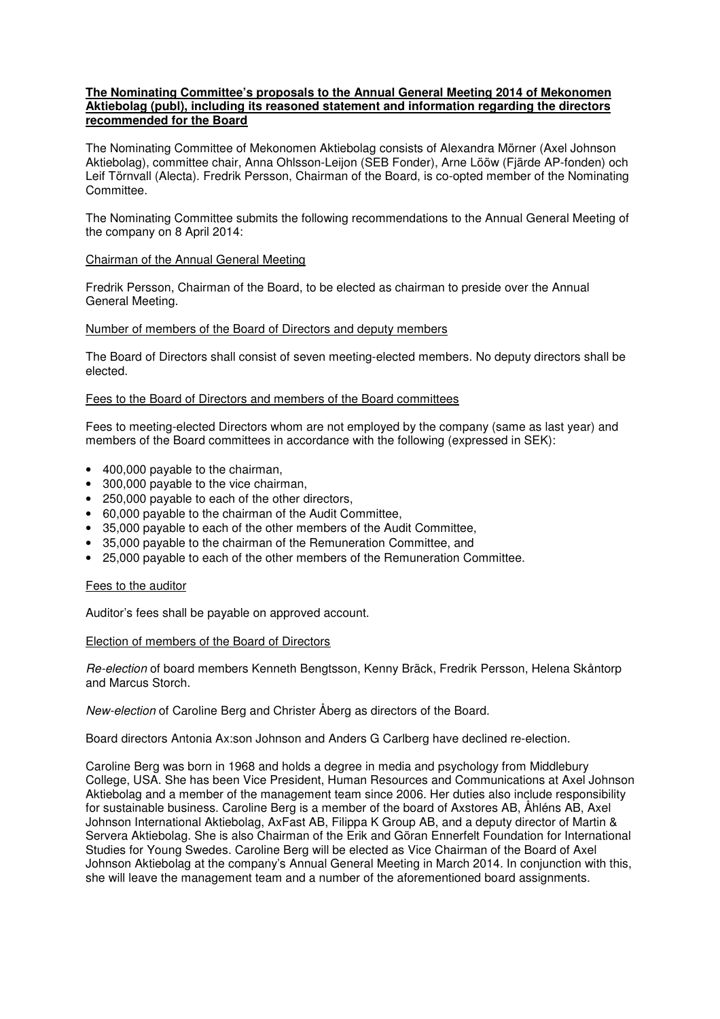## **The Nominating Committee's proposals to the Annual General Meeting 2014 of Mekonomen Aktiebolag (publ), including its reasoned statement and information regarding the directors recommended for the Board**

The Nominating Committee of Mekonomen Aktiebolag consists of Alexandra Mörner (Axel Johnson Aktiebolag), committee chair, Anna Ohlsson-Leijon (SEB Fonder), Arne Lööw (Fjärde AP-fonden) och Leif Törnvall (Alecta). Fredrik Persson, Chairman of the Board, is co-opted member of the Nominating Committee.

The Nominating Committee submits the following recommendations to the Annual General Meeting of the company on 8 April 2014:

## Chairman of the Annual General Meeting

Fredrik Persson, Chairman of the Board, to be elected as chairman to preside over the Annual General Meeting.

## Number of members of the Board of Directors and deputy members

The Board of Directors shall consist of seven meeting-elected members. No deputy directors shall be elected.

## Fees to the Board of Directors and members of the Board committees

Fees to meeting-elected Directors whom are not employed by the company (same as last year) and members of the Board committees in accordance with the following (expressed in SEK):

- 400,000 payable to the chairman,
- 300,000 payable to the vice chairman,
- 250,000 payable to each of the other directors,
- 60,000 payable to the chairman of the Audit Committee,
- 35,000 payable to each of the other members of the Audit Committee,
- 35,000 payable to the chairman of the Remuneration Committee, and
- 25,000 payable to each of the other members of the Remuneration Committee.

## Fees to the auditor

Auditor's fees shall be payable on approved account.

## Election of members of the Board of Directors

Re-election of board members Kenneth Bengtsson, Kenny Bräck, Fredrik Persson, Helena Skåntorp and Marcus Storch.

New-election of Caroline Berg and Christer Åberg as directors of the Board.

Board directors Antonia Ax:son Johnson and Anders G Carlberg have declined re-election.

Caroline Berg was born in 1968 and holds a degree in media and psychology from Middlebury College, USA. She has been Vice President, Human Resources and Communications at Axel Johnson Aktiebolag and a member of the management team since 2006. Her duties also include responsibility for sustainable business. Caroline Berg is a member of the board of Axstores AB, Åhléns AB, Axel Johnson International Aktiebolag, AxFast AB, Filippa K Group AB, and a deputy director of Martin & Servera Aktiebolag. She is also Chairman of the Erik and Göran Ennerfelt Foundation for International Studies for Young Swedes. Caroline Berg will be elected as Vice Chairman of the Board of Axel Johnson Aktiebolag at the company's Annual General Meeting in March 2014. In conjunction with this, she will leave the management team and a number of the aforementioned board assignments.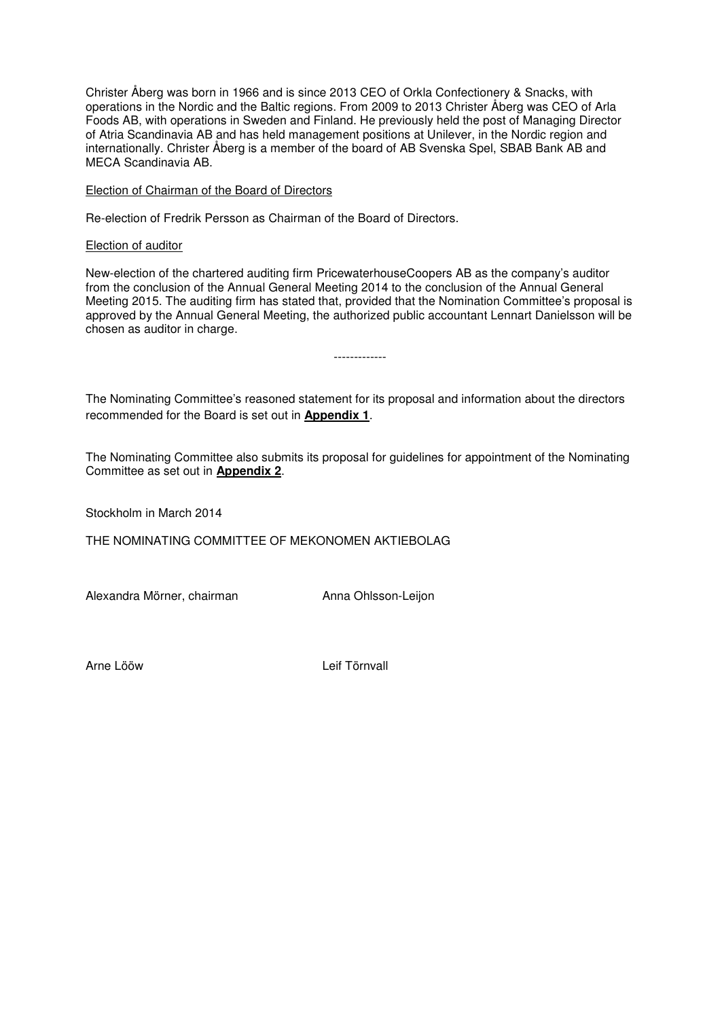Christer Åberg was born in 1966 and is since 2013 CEO of Orkla Confectionery & Snacks, with operations in the Nordic and the Baltic regions. From 2009 to 2013 Christer Åberg was CEO of Arla Foods AB, with operations in Sweden and Finland. He previously held the post of Managing Director of Atria Scandinavia AB and has held management positions at Unilever, in the Nordic region and internationally. Christer Åberg is a member of the board of AB Svenska Spel, SBAB Bank AB and MECA Scandinavia AB.

Election of Chairman of the Board of Directors

Re-election of Fredrik Persson as Chairman of the Board of Directors.

Election of auditor

New-election of the chartered auditing firm PricewaterhouseCoopers AB as the company's auditor from the conclusion of the Annual General Meeting 2014 to the conclusion of the Annual General Meeting 2015. The auditing firm has stated that, provided that the Nomination Committee's proposal is approved by the Annual General Meeting, the authorized public accountant Lennart Danielsson will be chosen as auditor in charge.

-------------

The Nominating Committee's reasoned statement for its proposal and information about the directors recommended for the Board is set out in **Appendix 1**.

The Nominating Committee also submits its proposal for guidelines for appointment of the Nominating Committee as set out in **Appendix 2**.

Stockholm in March 2014

THE NOMINATING COMMITTEE OF MEKONOMEN AKTIEBOLAG

Alexandra Mörner, chairman Anna Ohlsson-Leijon

Arne Lööw Leif Törnvall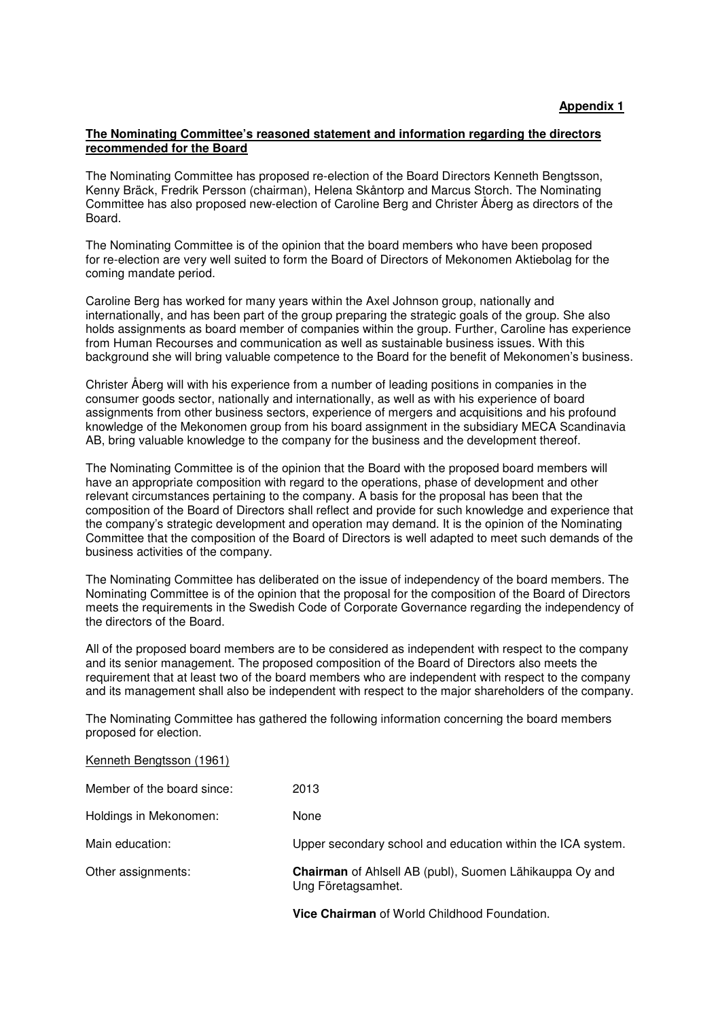## **The Nominating Committee's reasoned statement and information regarding the directors recommended for the Board**

The Nominating Committee has proposed re-election of the Board Directors Kenneth Bengtsson, Kenny Bräck, Fredrik Persson (chairman), Helena Skåntorp and Marcus Storch. The Nominating Committee has also proposed new-election of Caroline Berg and Christer Åberg as directors of the Board.

The Nominating Committee is of the opinion that the board members who have been proposed for re-election are very well suited to form the Board of Directors of Mekonomen Aktiebolag for the coming mandate period.

Caroline Berg has worked for many years within the Axel Johnson group, nationally and internationally, and has been part of the group preparing the strategic goals of the group. She also holds assignments as board member of companies within the group. Further, Caroline has experience from Human Recourses and communication as well as sustainable business issues. With this background she will bring valuable competence to the Board for the benefit of Mekonomen's business.

Christer Åberg will with his experience from a number of leading positions in companies in the consumer goods sector, nationally and internationally, as well as with his experience of board assignments from other business sectors, experience of mergers and acquisitions and his profound knowledge of the Mekonomen group from his board assignment in the subsidiary MECA Scandinavia AB, bring valuable knowledge to the company for the business and the development thereof.

The Nominating Committee is of the opinion that the Board with the proposed board members will have an appropriate composition with regard to the operations, phase of development and other relevant circumstances pertaining to the company. A basis for the proposal has been that the composition of the Board of Directors shall reflect and provide for such knowledge and experience that the company's strategic development and operation may demand. It is the opinion of the Nominating Committee that the composition of the Board of Directors is well adapted to meet such demands of the business activities of the company.

The Nominating Committee has deliberated on the issue of independency of the board members. The Nominating Committee is of the opinion that the proposal for the composition of the Board of Directors meets the requirements in the Swedish Code of Corporate Governance regarding the independency of the directors of the Board.

All of the proposed board members are to be considered as independent with respect to the company and its senior management. The proposed composition of the Board of Directors also meets the requirement that at least two of the board members who are independent with respect to the company and its management shall also be independent with respect to the major shareholders of the company.

The Nominating Committee has gathered the following information concerning the board members proposed for election.

| Kenneth Bengtsson (1961) |  |
|--------------------------|--|
|                          |  |

|                            | <b>Vice Chairman</b> of World Childhood Foundation.                           |
|----------------------------|-------------------------------------------------------------------------------|
| Other assignments:         | Chairman of Ahlsell AB (publ), Suomen Lähikauppa Oy and<br>Ung Företagsamhet. |
| Main education:            | Upper secondary school and education within the ICA system.                   |
| Holdings in Mekonomen:     | None                                                                          |
| Member of the board since: | 2013                                                                          |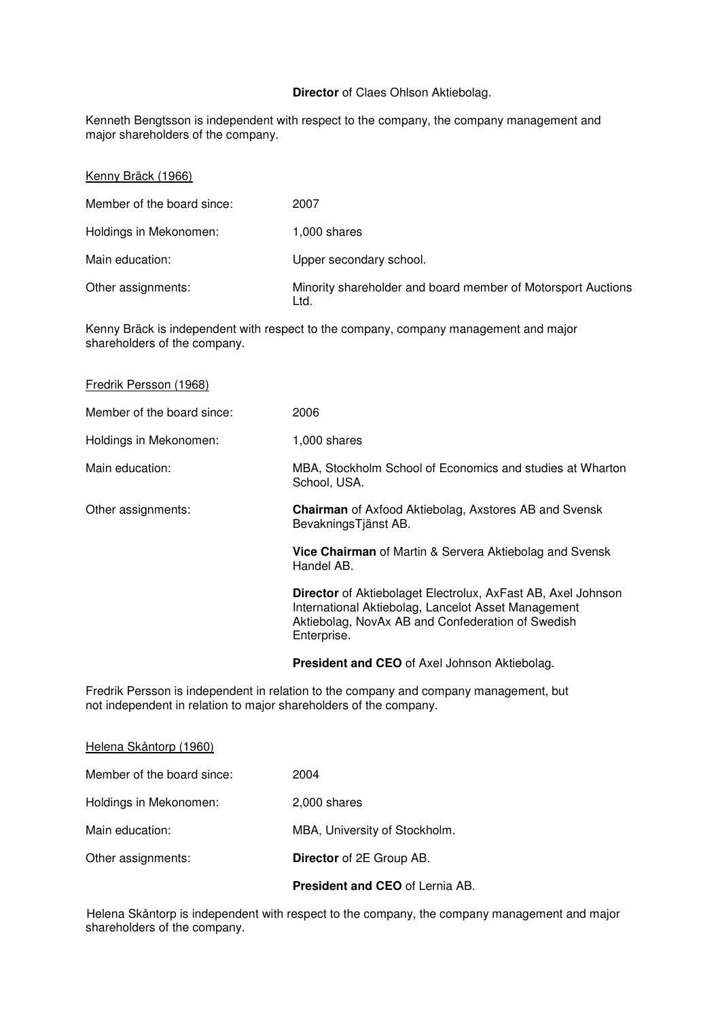## **Director** of Claes Ohlson Aktiebolag.

Kenneth Bengtsson is independent with respect to the company, the company management and major shareholders of the company.

| Kenny Bräck (1966)         |                                                                      |
|----------------------------|----------------------------------------------------------------------|
| Member of the board since: | 2007                                                                 |
| Holdings in Mekonomen:     | 1,000 shares                                                         |
| Main education:            | Upper secondary school.                                              |
| Other assignments:         | Minority shareholder and board member of Motorsport Auctions<br>Ltd. |

Kenny Bräck is independent with respect to the company, company management and major shareholders of the company.

| Fredrik Persson (1968)                                            |                                                                                                                                                                                         |
|-------------------------------------------------------------------|-----------------------------------------------------------------------------------------------------------------------------------------------------------------------------------------|
| Member of the board since:                                        | 2006                                                                                                                                                                                    |
| Holdings in Mekonomen:                                            | 1,000 shares                                                                                                                                                                            |
| Main education:                                                   | MBA, Stockholm School of Economics and studies at Wharton<br>School, USA.                                                                                                               |
| Other assignments:                                                | <b>Chairman</b> of Axfood Aktiebolag, Axstores AB and Svensk<br>BevakningsTjänst AB.                                                                                                    |
|                                                                   | <b>Vice Chairman</b> of Martin & Servera Aktiebolag and Svensk<br>Handel AB.                                                                                                            |
|                                                                   | Director of Aktiebolaget Electrolux, AxFast AB, Axel Johnson<br>International Aktiebolag, Lancelot Asset Management<br>Aktiebolag, NovAx AB and Confederation of Swedish<br>Enterprise. |
|                                                                   | <b>President and CEO</b> of Axel Johnson Aktiebolag.                                                                                                                                    |
| not independent in relation to major shareholders of the company. | Fredrik Persson is independent in relation to the company and company management, but                                                                                                   |
| Helena Skåntorp (1960)                                            |                                                                                                                                                                                         |

|                            | <b>President and CEO</b> of Lernia AB. |
|----------------------------|----------------------------------------|
| Other assignments:         | <b>Director</b> of 2E Group AB.        |
| Main education:            | MBA, University of Stockholm.          |
| Holdings in Mekonomen:     | 2,000 shares                           |
| Member of the board since: | 2004                                   |

Helena Skåntorp is independent with respect to the company, the company management and major shareholders of the company.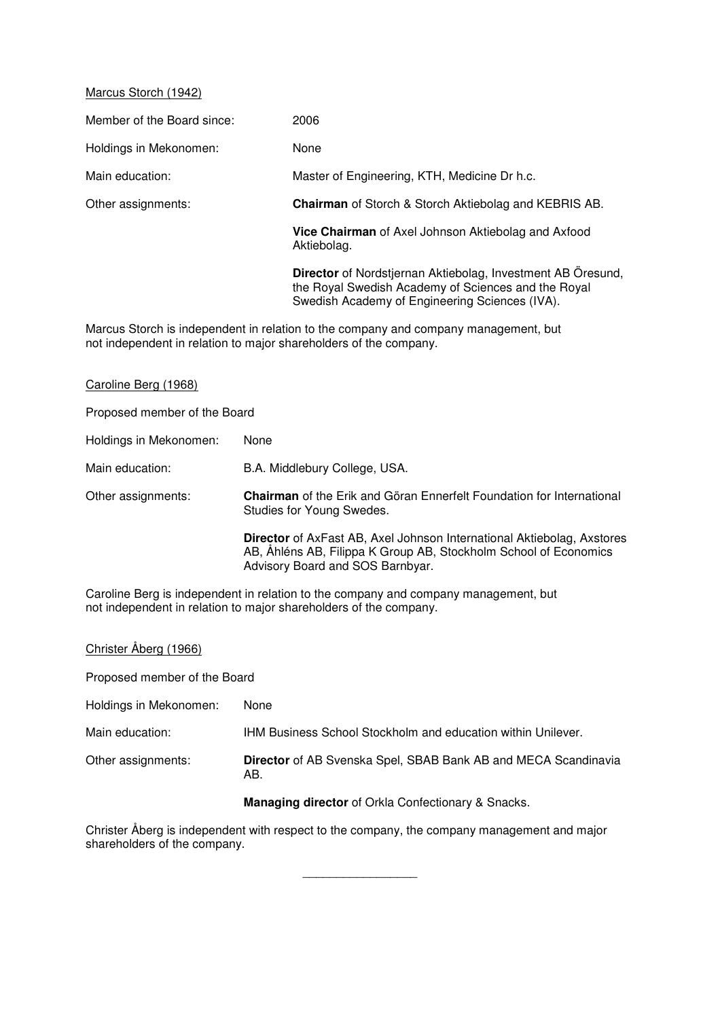## Marcus Storch (1942)

Member of the Board since: 2006 Holdings in Mekonomen: None Main education: Master of Engineering, KTH, Medicine Dr h.c. Other assignments: **Chairman** of Storch & Storch Aktiebolag and KEBRIS AB. **Vice Chairman** of Axel Johnson Aktiebolag and Axfood Aktiebolag. **Director** of Nordstjernan Aktiebolag, Investment AB Öresund, the Royal Swedish Academy of Sciences and the Royal Swedish Academy of Engineering Sciences (IVA).

Marcus Storch is independent in relation to the company and company management, but not independent in relation to major shareholders of the company.

## Caroline Berg (1968)

Proposed member of the Board

| Holdings in Mekonomen: | None                                                                                                                                                                                  |
|------------------------|---------------------------------------------------------------------------------------------------------------------------------------------------------------------------------------|
| Main education:        | B.A. Middlebury College, USA.                                                                                                                                                         |
| Other assignments:     | <b>Chairman</b> of the Erik and Göran Ennerfelt Foundation for International<br>Studies for Young Swedes.                                                                             |
|                        | <b>Director</b> of AxFast AB, Axel Johnson International Aktiebolag, Axstores<br>AB, Ahléns AB, Filippa K Group AB, Stockholm School of Economics<br>Advisory Board and SOS Barnbyar. |

Caroline Berg is independent in relation to the company and company management, but not independent in relation to major shareholders of the company.

# Christer Åberg (1966)

Proposed member of the Board

| Holdings in Mekonomen: | None                                                                         |
|------------------------|------------------------------------------------------------------------------|
| Main education:        | <b>IHM Business School Stockholm and education within Unilever.</b>          |
| Other assignments:     | <b>Director</b> of AB Svenska Spel, SBAB Bank AB and MECA Scandinavia<br>AB. |

**Managing director** of Orkla Confectionary & Snacks.

Christer Åberg is independent with respect to the company, the company management and major shareholders of the company.

 $\overline{\phantom{a}}$  , where  $\overline{\phantom{a}}$  , where  $\overline{\phantom{a}}$